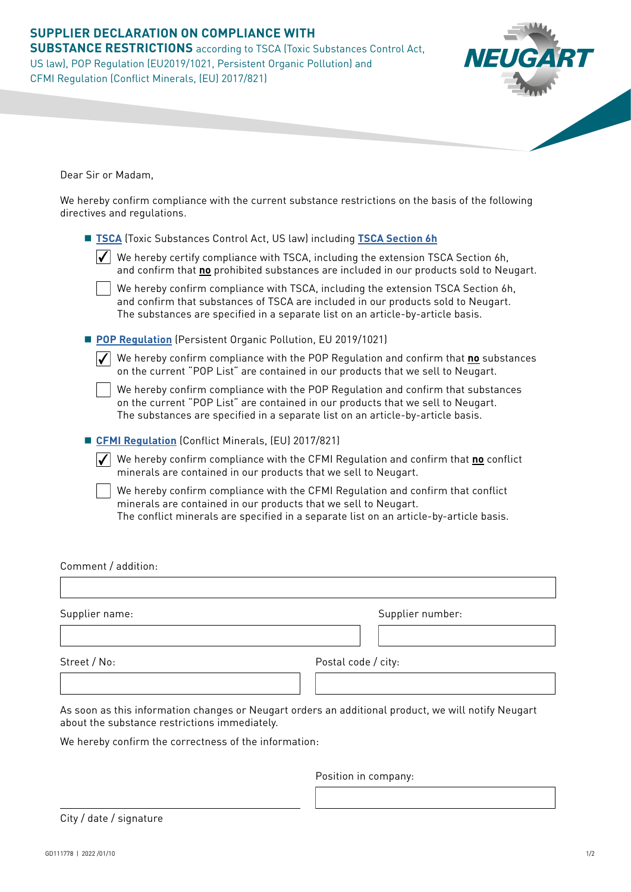# **SUPPLIER DECLARATION ON COMPLIANCE WITH SUBSTANCE RESTRICTIONS** according to TSCA (Toxic Substances Control Act, US law), POP Regulation (EU2019/1021, Persistent Organic Pollution) and CFMI Regulation (Conflict Minerals, (EU) 2017/821)

Dear Sir or Madam,

We hereby confirm compliance with the current substance restrictions on the basis of the following directives and regulations.

| <b>TSCA</b> (Toxic Substances Control Act, US law) including <b>TSCA Section 6h</b>                                                                                                                                                                      |
|----------------------------------------------------------------------------------------------------------------------------------------------------------------------------------------------------------------------------------------------------------|
| We hereby certify compliance with TSCA, including the extension TSCA Section 6h,<br>and confirm that no prohibited substances are included in our products sold to Neugart.                                                                              |
| We hereby confirm compliance with TSCA, including the extension TSCA Section 6h,<br>and confirm that substances of TSCA are included in our products sold to Neugart.<br>The substances are specified in a separate list on an article-by-article basis. |
| POP Regulation (Persistent Organic Pollution, EU 2019/1021)                                                                                                                                                                                              |
| We hereby confirm compliance with the POP Regulation and confirm that no substances<br>on the current "POP List" are contained in our products that we sell to Neugart.                                                                                  |
| We hereby confirm compliance with the POP Regulation and confirm that substances<br>on the current "POP List" are contained in our products that we sell to Neugart.<br>The substances are specified in a separate list on an article-by-article basis.  |
| <b>EXECUTE: CFMI Regulation</b> (Conflict Minerals, (EU) 2017/821)                                                                                                                                                                                       |
| We hereby confirm compliance with the CFMI Regulation and confirm that no conflict<br>minerals are contained in our products that we sell to Neugart.                                                                                                    |
| We hereby confirm compliance with the CFMI Regulation and confirm that conflict<br>minerals are contained in our products that we sell to Neugart.<br>The conflict minerals are specified in a separate list on an article-by-article basis.             |

Comment / addition:

Supplier name: Street / No: Supplier number: Postal code / city:

As soon as this information changes or Neugart orders an additional product, we will notify Neugart about the substance restrictions immediately.

We hereby confirm the correctness of the information:

Position in company:

City / date / signature